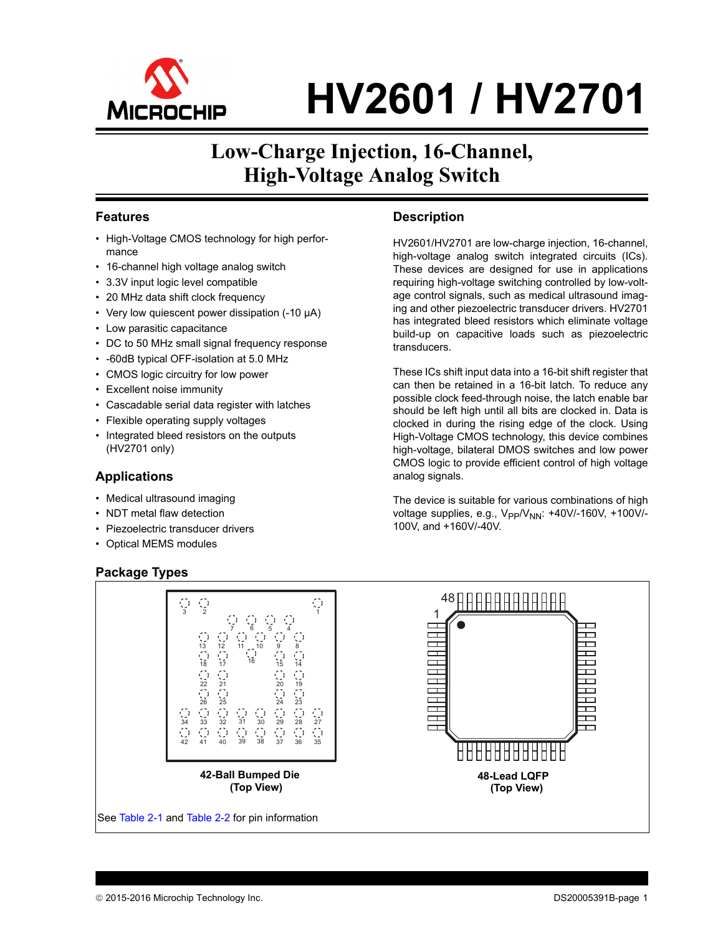

# **HV2601 / HV2701**

# **Low-Charge Injection, 16-Channel, High-Voltage Analog Switch**

#### **Features**

- High-Voltage CMOS technology for high performance
- 16-channel high voltage analog switch
- 3.3V input logic level compatible
- 20 MHz data shift clock frequency
- Very low quiescent power dissipation (-10 µA)
- Low parasitic capacitance
- DC to 50 MHz small signal frequency response
- -60dB typical OFF-isolation at 5.0 MHz
- CMOS logic circuitry for low power
- Excellent noise immunity
- Cascadable serial data register with latches
- Flexible operating supply voltages
- Integrated bleed resistors on the outputs (HV2701 only)

#### **Applications**

- Medical ultrasound imaging
- NDT metal flaw detection
- Piezoelectric transducer drivers
- Optical MEMS modules

#### <span id="page-0-0"></span>**Package Types**



See [Table 2-1](#page-6-0) and [Table 2-2](#page-7-0) for pin information

#### **Description**

HV2601/HV2701 are low-charge injection, 16-channel, high-voltage analog switch integrated circuits (ICs). These devices are designed for use in applications requiring high-voltage switching controlled by low-voltage control signals, such as medical ultrasound imaging and other piezoelectric transducer drivers. HV2701 has integrated bleed resistors which eliminate voltage build-up on capacitive loads such as piezoelectric transducers.

These ICs shift input data into a 16-bit shift register that can then be retained in a 16-bit latch. To reduce any possible clock feed-through noise, the latch enable bar should be left high until all bits are clocked in. Data is clocked in during the rising edge of the clock. Using High-Voltage CMOS technology, this device combines high-voltage, bilateral DMOS switches and low power CMOS logic to provide efficient control of high voltage analog signals.

The device is suitable for various combinations of high voltage supplies, e.g.,  $V_{PP}/V_{NN}$ : +40V/-160V, +100V/-100V, and +160V/-40V.

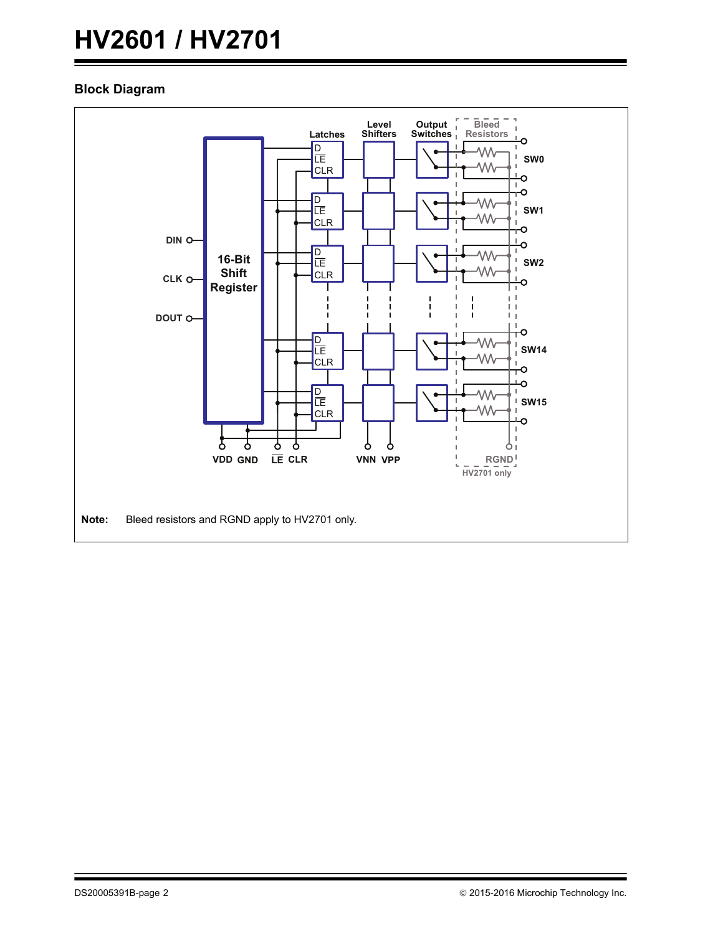# **HV2601 / HV2701**

#### <span id="page-1-0"></span>**Block Diagram**

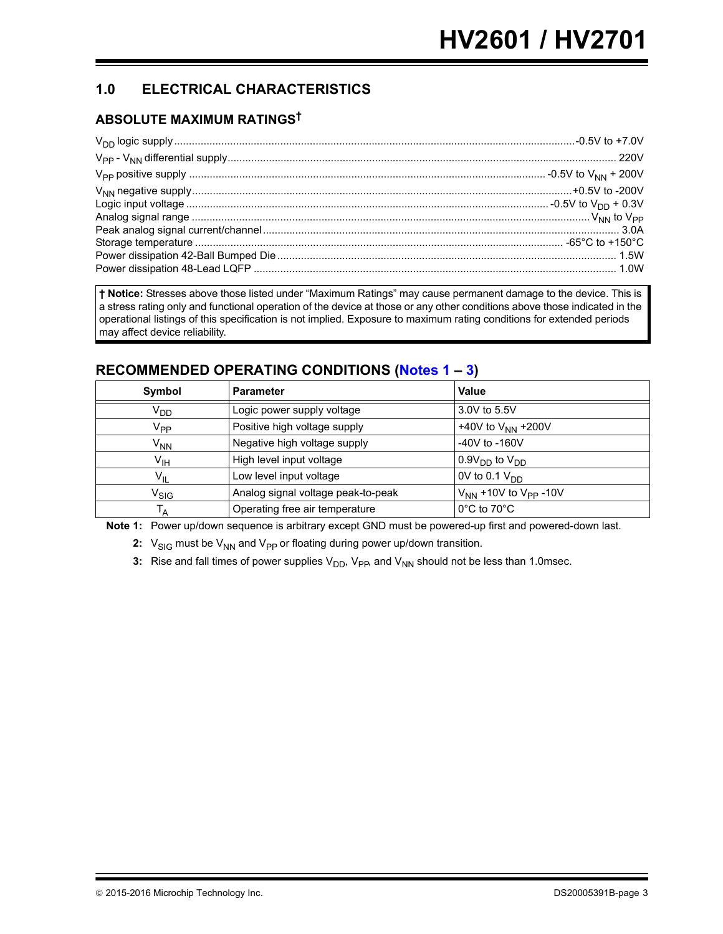## **1.0 ELECTRICAL CHARACTERISTICS**

#### **ABSOLUTE MAXIMUM RATINGS†**

**† Notice:** Stresses above those listed under "Maximum Ratings" may cause permanent damage to the device. This is a stress rating only and functional operation of the device at those or any other conditions above those indicated in the operational listings of this specification is not implied. Exposure to maximum rating conditions for extended periods may affect device reliability.

#### **RECOMMENDED OPERATING CONDITIONS [\(Notes 1](#page-2-0) – [3\)](#page-2-1)**

| Symbol                | <b>Parameter</b>                   | Value                          |
|-----------------------|------------------------------------|--------------------------------|
| <b>V<sub>DD</sub></b> | Logic power supply voltage         | 3.0V to 5.5V                   |
| $V_{PP}$              | Positive high voltage supply       | +40V to $V_{NN}$ +200V         |
| $V_{NN}$              | Negative high voltage supply       | -40V to -160V                  |
| $V_{\text{IH}}$       | High level input voltage           | $0.9V_{DD}$ to $V_{DD}$        |
| $V_{IL}$              | Low level input voltage            | OV to 0.1 $V_{DD}$             |
| $\rm{V_{SIG}}$        | Analog signal voltage peak-to-peak | $V_{NN}$ +10V to $V_{PP}$ -10V |
| $T_A$                 | Operating free air temperature     | 0°C to 70°C                    |

<span id="page-2-1"></span><span id="page-2-0"></span>**Note 1:** Power up/down sequence is arbitrary except GND must be powered-up first and powered-down last.

**2:**  $V_{\text{SIG}}$  must be  $V_{\text{NN}}$  and  $V_{\text{PP}}$  or floating during power up/down transition.

**3:** Rise and fall times of power supplies V<sub>DD</sub>, V<sub>PP</sub>, and V<sub>NN</sub> should not be less than 1.0msec.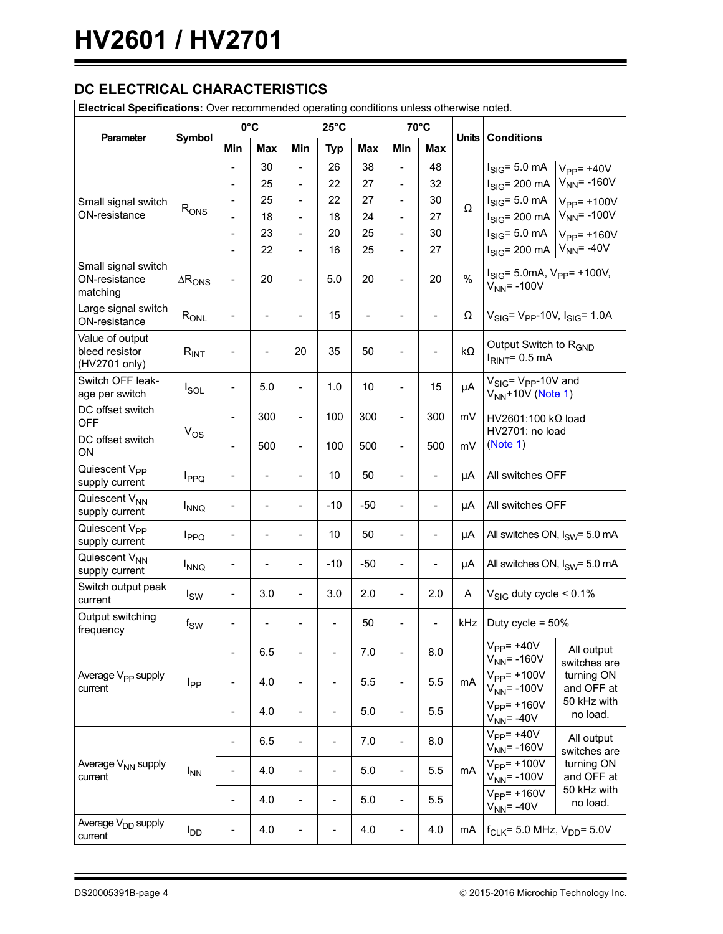### **DC ELECTRICAL CHARACTERISTICS**

**Electrical Specifications:** Over recommended operating conditions unless otherwise noted.

| Licution operintations. Over recommended operating conditions unicss otherwise noted. |                         |                              |                              |                          |                          |                |                              |                          |              |                                                                        |                            |
|---------------------------------------------------------------------------------------|-------------------------|------------------------------|------------------------------|--------------------------|--------------------------|----------------|------------------------------|--------------------------|--------------|------------------------------------------------------------------------|----------------------------|
| Parameter                                                                             | <b>Symbol</b>           | $0^{\circ}$ C                |                              |                          | $25^{\circ}$ C           |                |                              | $70^{\circ}$ C           | <b>Units</b> | <b>Conditions</b>                                                      |                            |
|                                                                                       |                         | Min                          | Max                          | Min                      | <b>Typ</b>               | Max            | Min                          | Max                      |              |                                                                        |                            |
|                                                                                       |                         | $\overline{\phantom{a}}$     | 30                           | $\overline{\phantom{a}}$ | 26                       | 38             |                              | 48                       |              | $I_{\text{SIG}} = 5.0 \text{ mA}$                                      | $V_{PP}$ = +40V            |
|                                                                                       |                         | $\qquad \qquad \blacksquare$ | 25                           | $\overline{\phantom{a}}$ | 22                       | 27             | $\overline{\phantom{a}}$     | 32                       |              | $I_{\text{SIG}}$ = 200 mA                                              | $V_{NN}$ = -160V           |
| Small signal switch                                                                   | $R_{\text{ONS}}$        | $\overline{\phantom{0}}$     | 25                           | $\blacksquare$           | 22                       | 27             | $\frac{1}{2}$                | 30                       | Ω            | $I_{\text{SIG}}$ = 5.0 mA                                              | $V_{PP}$ = +100V           |
| ON-resistance                                                                         |                         |                              | 18                           | $\overline{\phantom{a}}$ | 18                       | 24             | $\frac{1}{2}$                | 27                       |              | $I_{\text{SIG}}$ = 200 mA                                              | $V_{NN}$ = -100V           |
|                                                                                       |                         | $\qquad \qquad \blacksquare$ | 23                           | $\blacksquare$           | 20                       | 25             | $\blacksquare$               | 30                       |              | $I_{\text{SIG}} = 5.0 \text{ mA}$                                      | $V_{PP}$ = +160V           |
|                                                                                       |                         | $\overline{\phantom{0}}$     | 22                           | $\overline{\phantom{a}}$ | 16                       | 25             | $\blacksquare$               | 27                       |              | $I_{\text{SIG}}$ = 200 mA                                              | $V_{NN}$ = -40V            |
| Small signal switch<br>ON-resistance<br>matching                                      | $\Delta R_{\text{ONS}}$ |                              | 20                           | $\overline{a}$           | 5.0                      | 20             | $\overline{a}$               | 20                       | $\%$         | $I_{\text{SIG}}$ = 5.0mA, $V_{\text{PP}}$ = +100V,<br>$V_{NN}$ = -100V |                            |
| Large signal switch<br>ON-resistance                                                  | $R_{ONL}$               |                              | $\overline{a}$               |                          | 15                       | $\overline{a}$ |                              |                          | Ω            | $V_{\text{SIG}}$ = $V_{\text{PP}}$ -10V, $I_{\text{SIG}}$ = 1.0A       |                            |
| Value of output<br>bleed resistor<br>(HV2701 only)                                    | $R_{INT}$               |                              |                              | 20                       | 35                       | 50             |                              |                          | $k\Omega$    | Output Switch to R <sub>GND</sub><br>$I_{RINT}$ = 0.5 mA               |                            |
| Switch OFF leak-<br>age per switch                                                    | $I_{SOL}$               | $\overline{\phantom{a}}$     | 5.0                          | $\overline{\phantom{a}}$ | 1.0                      | 10             | $\overline{a}$               | 15                       | μA           | $V_{\text{SIG}}$ = $V_{\text{PP}}$ -10V and<br>$V_{NN}$ +10V (Note 1)  |                            |
| DC offset switch<br><b>OFF</b>                                                        |                         | $\overline{a}$               | 300                          | $\overline{\phantom{a}}$ | 100                      | 300            | $\overline{\phantom{0}}$     | 300                      | mV           | HV2601:100 kΩ load<br>HV2701: no load                                  |                            |
| DC offset switch<br>ON                                                                | $V_{OS}$                | $\overline{a}$               | 500                          | $\overline{\phantom{0}}$ | 100                      | 500            | $\qquad \qquad \blacksquare$ | 500                      | mV           | (Note 1)                                                               |                            |
| Quiescent V <sub>PP</sub><br>supply current                                           | I <sub>PPQ</sub>        | $\overline{a}$               | $\qquad \qquad \blacksquare$ | $\overline{\phantom{a}}$ | 10                       | 50             | $\frac{1}{2}$                | $\overline{\phantom{0}}$ | μA           | All switches OFF                                                       |                            |
| Quiescent V <sub>NN</sub><br>supply current                                           | <b>INNQ</b>             | $\overline{a}$               | $\qquad \qquad \blacksquare$ | $\overline{\phantom{0}}$ | $-10$                    | $-50$          | $\overline{a}$               | $\overline{\phantom{0}}$ | μA           | All switches OFF                                                       |                            |
| Quiescent V <sub>PP</sub><br>supply current                                           | I <sub>PPQ</sub>        |                              | ٠                            | $\blacksquare$           | 10                       | 50             | $\overline{\phantom{a}}$     | $\overline{\phantom{a}}$ | μA           | All switches ON, $I_{SW} = 5.0$ mA                                     |                            |
| Quiescent V <sub>NN</sub><br>supply current                                           | <b>INNQ</b>             | $\overline{a}$               |                              | $\overline{\phantom{a}}$ | $-10$                    | $-50$          | $\overline{\phantom{a}}$     | $\overline{\phantom{0}}$ | μA           | All switches ON, I <sub>SW</sub> = 5.0 mA                              |                            |
| Switch output peak<br>current                                                         | $I_{SW}$                | $\overline{a}$               | 3.0                          | $\overline{\phantom{0}}$ | 3.0                      | 2.0            | $\frac{1}{2}$                | 2.0                      | Α            | $V_{\text{SIG}}$ duty cycle < 0.1%                                     |                            |
| Output switching<br>frequency                                                         | $f_{SW}$                |                              |                              |                          |                          | 50             |                              | $\overline{\phantom{a}}$ | kHz          | Duty cycle = $50\%$                                                    |                            |
|                                                                                       |                         |                              | 6.5                          |                          |                          | 7.0            | $\overline{\phantom{0}}$     | 8.0                      |              | $V_{PP}$ = +40V<br>$V_{NN}$ = -160V                                    | All output<br>switches are |
| Average V <sub>PP</sub> supply<br>current                                             | I <sub>PP</sub>         |                              | 4.0                          | $\overline{\phantom{0}}$ |                          | 5.5            | $\overline{a}$               | 5.5                      | mA           | $V_{PP}$ = +100V<br>$V_{NN}$ = -100 $V$                                | turning ON<br>and OFF at   |
|                                                                                       |                         | $\qquad \qquad -$            | 4.0                          | $\overline{\phantom{a}}$ | $\blacksquare$           | 5.0            | $\frac{1}{2}$                | 5.5                      |              | $V_{PP}$ = +160V<br>$V_{NN}$ = -40V                                    | 50 kHz with<br>no load.    |
|                                                                                       |                         | $\overline{a}$               | 6.5                          | $\overline{\phantom{a}}$ | $\overline{\phantom{a}}$ | 7.0            | $\frac{1}{2}$                | 8.0                      |              | $V_{PP}$ = +40V<br>$V_{NN}$ = -160V                                    | All output<br>switches are |
| Average V <sub>NN</sub> supply<br>current                                             | <b>I<sub>NN</sub></b>   |                              | 4.0                          | $\overline{\phantom{0}}$ | $\overline{a}$           | 5.0            | $\blacksquare$               | 5.5                      | mA           | $V_{PP}$ = +100V<br>turning ON<br>$V_{NN}$ = -100 $V$<br>and OFF at    |                            |
|                                                                                       |                         | $\overline{a}$               | 4.0                          | $\qquad \qquad -$        | $\overline{\phantom{a}}$ | 5.0            | $\blacksquare$               | 5.5                      |              | 50 kHz with<br>$V_{PP}$ = +160V<br>no load.<br>$V_{NN}$ = -40V         |                            |
| Average V <sub>DD</sub> supply<br>current                                             | <b>I</b> <sub>DD</sub>  | -                            | 4.0                          |                          |                          | 4.0            | $\qquad \qquad -$            | 4.0                      | mA           | $f_{CLK}$ = 5.0 MHz, $V_{DD}$ = 5.0V                                   |                            |

٦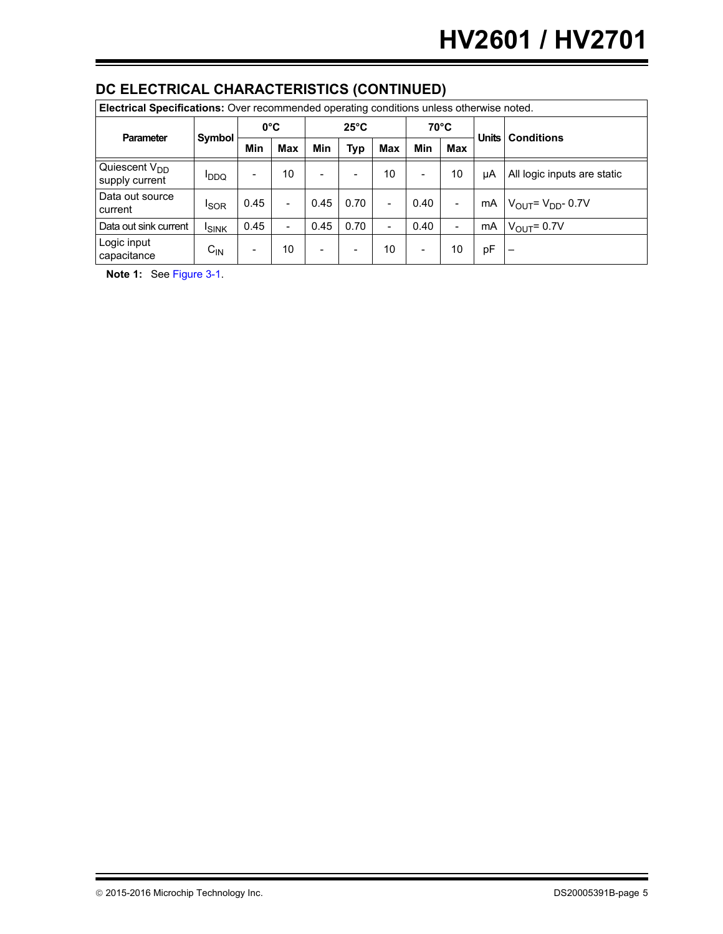#### **DC ELECTRICAL CHARACTERISTICS (CONTINUED)**

| Electrical Specifications: Over recommended operating conditions unless otherwise noted. |                  |                          |                          |      |                          |            |                          |     |              |                                         |  |
|------------------------------------------------------------------------------------------|------------------|--------------------------|--------------------------|------|--------------------------|------------|--------------------------|-----|--------------|-----------------------------------------|--|
| <b>Parameter</b>                                                                         | Symbol           |                          | $0^{\circ}$ C            |      | $25^{\circ}$ C           |            | 70°C                     |     | <b>Units</b> | <b>Conditions</b>                       |  |
|                                                                                          |                  | Min                      | Max                      | Min  | Typ                      | <b>Max</b> | Min                      | Max |              |                                         |  |
| Quiescent $V_{DD}$<br>supply current                                                     | <b>PDDQ</b>      | $\overline{\phantom{0}}$ | 10                       |      | $\blacksquare$           | 10         | -                        | 10  | μA           | All logic inputs are static             |  |
| Data out source<br>current                                                               | <sup>I</sup> SOR | 0.45                     | ۰                        | 0.45 | 0.70                     | Ξ.         | 0.40                     |     | mA           | $V_{\text{OUT}} = V_{\text{DD}}$ - 0.7V |  |
| Data out sink current                                                                    | <b>ISINK</b>     | 0.45                     | $\overline{\phantom{a}}$ | 0.45 | 0.70                     | ۰          | 0.40                     |     | <b>mA</b>    | $V_{\text{OUT}} = 0.7V$                 |  |
| Logic input<br>capacitance                                                               | $C_{IN}$         | $\overline{\phantom{0}}$ | 10                       |      | $\overline{\phantom{0}}$ | 10         | $\overline{\phantom{a}}$ | 10  | pF           |                                         |  |

<span id="page-4-0"></span>**Note 1:** See [Figure 3-1](#page-9-0).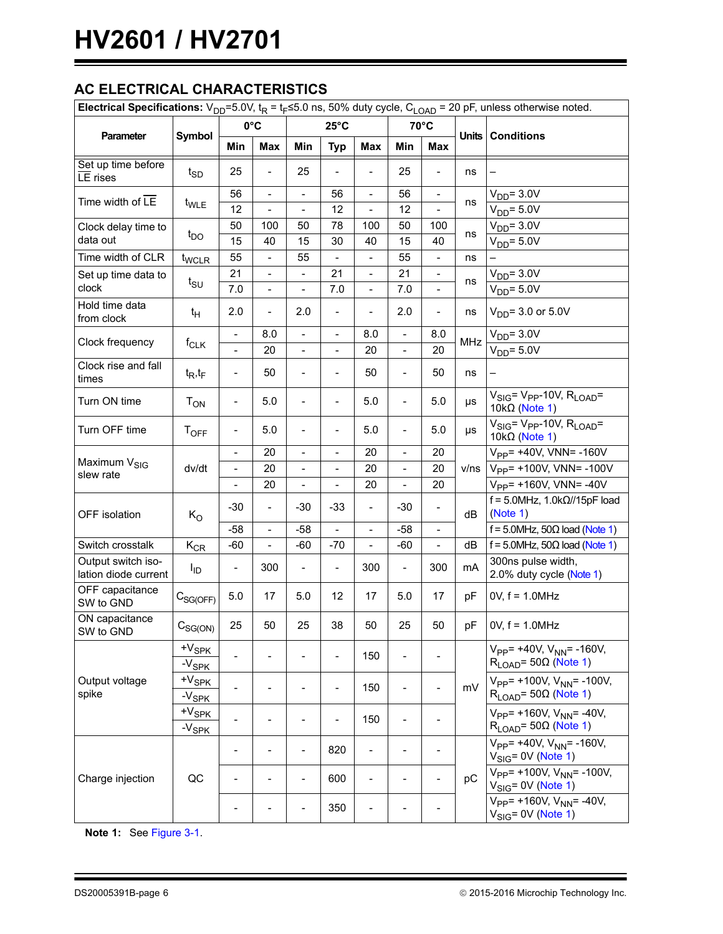## **AC ELECTRICAL CHARACTERISTICS**

|                                            |                                 |                          |                          |                          |                          |                          |                              |                              |              | Electrical Specifications: $V_{DD}$ =5.0V, $t_R = t_F \le 5.0$ ns, 50% duty cycle, $C_{LOAD} = 20$ pF, unless otherwise noted. |
|--------------------------------------------|---------------------------------|--------------------------|--------------------------|--------------------------|--------------------------|--------------------------|------------------------------|------------------------------|--------------|--------------------------------------------------------------------------------------------------------------------------------|
|                                            |                                 |                          | $0^{\circ}$ C            |                          | $25^{\circ}$ C           |                          |                              | $70^{\circ}$ C               |              |                                                                                                                                |
| Parameter                                  | <b>Symbol</b>                   | Min                      | Max                      | Min                      | <b>Typ</b>               | <b>Max</b>               | Min                          | Max                          | <b>Units</b> | <b>Conditions</b>                                                                                                              |
| Set up time before<br>LE rises             | $t_{SD}$                        | 25                       | $\blacksquare$           | 25                       | $\blacksquare$           | $\overline{\phantom{a}}$ | 25                           | $\overline{\phantom{0}}$     | ns           |                                                                                                                                |
| Time width of $LE$                         |                                 | 56                       | $\overline{a}$           |                          | 56                       | $\overline{a}$           | 56                           | $\overline{\phantom{0}}$     | ns           | $V_{DD}$ = 3.0V                                                                                                                |
|                                            | t <sub>WLE</sub>                | 12                       | $\overline{\phantom{a}}$ |                          | 12                       | $\overline{\phantom{0}}$ | 12                           | $\overline{\phantom{0}}$     |              | $V_{DD}$ = 5.0V                                                                                                                |
| Clock delay time to                        | $t_{DO}$                        | 50                       | 100                      | 50                       | 78                       | 100                      | 50                           | 100                          | ns           | $V_{DD}$ = 3.0V                                                                                                                |
| data out                                   |                                 | 15                       | 40                       | 15                       | 30                       | 40                       | 15                           | 40                           |              | $V_{DD} = 5.0\overline{V}$                                                                                                     |
| Time width of CLR                          | t <sub>WCLR</sub>               | 55                       | $\overline{a}$           | 55                       |                          |                          | 55                           | $\overline{a}$               | ns           |                                                                                                                                |
| Set up time data to                        | $t_{\text{SU}}$                 | 21                       | $\blacksquare$           | $\overline{\phantom{a}}$ | 21                       | $\overline{\phantom{0}}$ | 21                           | $\overline{\phantom{0}}$     | ns           | $V_{DD} = 3.0V$                                                                                                                |
| clock                                      |                                 | $7.0$                    | $\overline{\phantom{a}}$ | $\blacksquare$           | 7.0                      | $\overline{\phantom{a}}$ | 7.0                          | $\qquad \qquad \blacksquare$ |              | $V_{DD}$ = 5.0V                                                                                                                |
| Hold time data<br>from clock               | $t_H$                           | 2.0                      | $\blacksquare$           | 2.0                      | $\qquad \qquad -$        | $\overline{\phantom{a}}$ | 2.0                          | $\overline{\phantom{0}}$     | ns           | $V_{DD}$ = 3.0 or 5.0V                                                                                                         |
| Clock frequency                            | $f_{CLK}$                       | $\overline{\phantom{0}}$ | 8.0                      | $\overline{\phantom{a}}$ | $\overline{\phantom{0}}$ | 8.0                      | $\overline{a}$               | 8.0                          | <b>MHz</b>   | $V_{DD} = 3.0V$                                                                                                                |
|                                            |                                 |                          | 20                       | $\overline{\phantom{a}}$ | $\overline{\phantom{a}}$ | 20                       | $\qquad \qquad \blacksquare$ | 20                           |              | $V_{DD}$ = 5.0V                                                                                                                |
| Clock rise and fall<br>times               | $t_R, t_F$                      | $\overline{\phantom{0}}$ | 50                       | $\overline{\phantom{a}}$ |                          | 50                       | $\frac{1}{2}$                | 50                           | ns           |                                                                                                                                |
| Turn ON time                               | $T_{ON}$                        | $\overline{\phantom{0}}$ | 5.0                      | $\overline{\phantom{a}}$ | $\overline{\phantom{a}}$ | 5.0                      | $\overline{a}$               | 5.0                          | μs           | $V_{\text{SIG}}$ = $V_{\text{PP}}$ -10V, $R_{\text{LOAD}}$ =<br>10k $\Omega$ (Note 1)                                          |
| Turn OFF time                              | $T_{OFF}$                       | $\overline{\phantom{0}}$ | 5.0                      | $\overline{\phantom{a}}$ | $\blacksquare$           | 5.0                      | $\qquad \qquad -$            | 5.0                          | μs           | $V_{SIG} = V_{PP} - 10V$ , $R_{LOAD} =$<br>10k $\Omega$ (Note 1)                                                               |
|                                            |                                 | $\overline{\phantom{0}}$ | 20                       | $\blacksquare$           | $\overline{a}$           | 20                       | $\overline{a}$               | 20                           |              | V <sub>PP</sub> = +40V, VNN= -160V                                                                                             |
| Maximum V <sub>SIG</sub><br>slew rate      | dv/dt                           | $\overline{\phantom{0}}$ | 20                       | $\blacksquare$           | $\blacksquare$           | 20                       | $\frac{1}{2}$                | 20                           | v/ns         | $V_{PP}$ = +100V, VNN= -100V                                                                                                   |
|                                            |                                 |                          | 20                       |                          |                          | 20                       |                              | 20                           |              | $V_{PP}$ = +160V, VNN= -40V                                                                                                    |
| OFF isolation                              | $K_{\rm O}$                     | $-30$                    | $\blacksquare$           | $-30$                    | $-33$                    | $\overline{\phantom{a}}$ | $-30$                        | $\overline{\phantom{0}}$     | dB           | $f = 5.0$ MHz, 1.0k $\Omega$ //15pF load<br>(Note 1)                                                                           |
|                                            |                                 | $-58$                    | $\overline{\phantom{a}}$ | $-58$                    | $\blacksquare$           | $\overline{\phantom{0}}$ | $-58$                        | $\overline{\phantom{0}}$     |              | $f = 5.0$ MHz, 50 $\Omega$ load (Note 1)                                                                                       |
| Switch crosstalk                           | $K_{CR}$                        | $-60$                    | $\frac{1}{2}$            | $-60$                    | $-70$                    | $\overline{\phantom{0}}$ | $-60$                        | $\overline{\phantom{0}}$     | dB           | $f = 5.0$ MHz, 50 $\Omega$ load (Note 1)                                                                                       |
| Output switch iso-<br>lation diode current | ŀю                              | $\overline{\phantom{0}}$ | 300                      | $\overline{\phantom{0}}$ | $\overline{\phantom{0}}$ | 300                      | $\blacksquare$               | 300                          | mA           | 300ns pulse width,<br>2.0% duty cycle (Note 1)                                                                                 |
| OFF capacitance<br>SW to GND               | $C_{SG(OFF)}$                   | 5.0                      | 17                       | 5.0                      | 12                       | 17                       | 5.0                          | 17                           | pF           | $0V, f = 1.0 MHz$                                                                                                              |
| ON capacitance<br>SW to GND                | $C_{SG(ON)}$                    | 25                       | 50                       | 25                       | 38                       | 50                       | 25                           | 50                           | рF           | $OV, f = 1.0MHz$                                                                                                               |
|                                            | +V <sub>SPK</sub><br>$-V_{SPK}$ |                          |                          |                          |                          | 150                      |                              |                              |              | $V_{PP}$ = +40V, $V_{NN}$ = -160V,<br>$R_{\text{LOAD}}$ = 50 $\Omega$ (Note 1)                                                 |
| Output voltage<br>spike                    | +V <sub>SPK</sub><br>$-V_{SPK}$ |                          |                          |                          |                          | 150                      | -                            |                              | mV           | $V_{PP}$ = +100V, $V_{NN}$ = -100V,<br>$R_{\text{LOAD}}$ = 50 $\Omega$ (Note 1)                                                |
|                                            | $+V_{SPK}$<br>$-V_{SPK}$        |                          |                          |                          |                          | 150                      | $\overline{a}$               |                              |              | $V_{PP}$ = +160V, $V_{NN}$ = -40V,<br>$R_{\text{LOAD}}$ = 50 $\Omega$ (Note 1)                                                 |
|                                            |                                 |                          | -                        |                          | 820                      | $\overline{\phantom{0}}$ | $\qquad \qquad -$            | $\overline{a}$               |              | $\overline{V_{PP}}$ = +40V, $V_{NN}$ = -160V,<br>$V_{SIG} = 0V$ (Note 1)                                                       |
| Charge injection                           | QC                              |                          | $\overline{\phantom{a}}$ | $\blacksquare$           | 600                      | $\overline{\phantom{a}}$ | $\overline{\phantom{0}}$     |                              | рC           | $V_{PP}$ = +100V, $V_{NN}$ = -100V,<br>$V_{SIG} = 0V$ (Note 1)                                                                 |
|                                            |                                 |                          |                          |                          | 350                      | $\overline{\phantom{0}}$ |                              |                              |              | $\overline{V_{PP}}$ +160V, $V_{NN}$ = -40V,<br>$V_{SIG} = 0V (Note 1)$                                                         |

<span id="page-5-0"></span>**Note 1:** See [Figure 3-1](#page-9-0).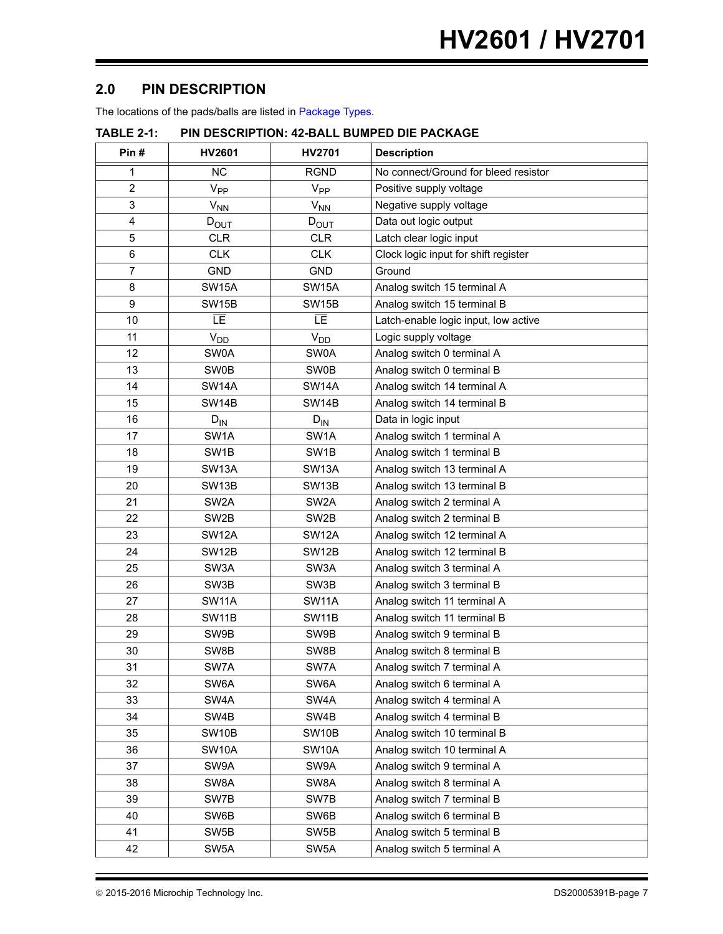#### **2.0 PIN DESCRIPTION**

The locations of the pads/balls are listed in [Package Types.](#page-0-0)

#### <span id="page-6-0"></span>**TABLE 2-1: PIN DESCRIPTION: 42-BALL BUMPED DIE PACKAGE**

| Pin#             | HV2601            | HV2701            | <b>Description</b>                   |
|------------------|-------------------|-------------------|--------------------------------------|
| 1                | <b>NC</b>         | <b>RGND</b>       | No connect/Ground for bleed resistor |
| $\overline{2}$   | $V_{PP}$          | $V_{PP}$          | Positive supply voltage              |
| 3                | $V_{NN}$          | $V_{\sf NN}$      | Negative supply voltage              |
| 4                | $D_{OUT}$         | $D_{OUT}$         | Data out logic output                |
| 5                | <b>CLR</b>        | <b>CLR</b>        | Latch clear logic input              |
| $\,6\,$          | <b>CLK</b>        | <b>CLK</b>        | Clock logic input for shift register |
| $\overline{7}$   | <b>GND</b>        | <b>GND</b>        | Ground                               |
| 8                | <b>SW15A</b>      | <b>SW15A</b>      | Analog switch 15 terminal A          |
| $\boldsymbol{9}$ | SW15B             | SW15B             | Analog switch 15 terminal B          |
| 10               | īΕ                | ᇉ                 | Latch-enable logic input, low active |
| 11               | V <sub>DD</sub>   | V <sub>DD</sub>   | Logic supply voltage                 |
| 12               | SW0A              | SW0A              | Analog switch 0 terminal A           |
| 13               | <b>SW0B</b>       | <b>SW0B</b>       | Analog switch 0 terminal B           |
| 14               | <b>SW14A</b>      | <b>SW14A</b>      | Analog switch 14 terminal A          |
| 15               | SW14B             | SW14B             | Analog switch 14 terminal B          |
| 16               | $D_{IN}$          | $D_{IN}$          | Data in logic input                  |
| 17               | SW1A              | SW1A              | Analog switch 1 terminal A           |
| 18               | SW <sub>1</sub> B | SW <sub>1</sub> B | Analog switch 1 terminal B           |
| 19               | SW13A             | SW13A             | Analog switch 13 terminal A          |
| 20               | SW13B             | SW13B             | Analog switch 13 terminal B          |
| 21               | SW <sub>2</sub> A | SW <sub>2</sub> A | Analog switch 2 terminal A           |
| 22               | SW <sub>2</sub> B | SW <sub>2</sub> B | Analog switch 2 terminal B           |
| 23               | <b>SW12A</b>      | <b>SW12A</b>      | Analog switch 12 terminal A          |
| 24               | SW12B             | SW12B             | Analog switch 12 terminal B          |
| 25               | SW3A              | SW3A              | Analog switch 3 terminal A           |
| 26               | SW3B              | SW3B              | Analog switch 3 terminal B           |
| 27               | SW11A             | <b>SW11A</b>      | Analog switch 11 terminal A          |
| 28               | SW11B             | SW11B             | Analog switch 11 terminal B          |
| 29               | SW9B              | SW9B              | Analog switch 9 terminal B           |
| 30               | SW8B              | SW8B              | Analog switch 8 terminal B           |
| 31               | SW7A              | SW7A              | Analog switch 7 terminal A           |
| 32               | SW6A              | SW6A              | Analog switch 6 terminal A           |
| 33               | SW4A              | SW4A              | Analog switch 4 terminal A           |
| 34               | SW4B              | SW4B              | Analog switch 4 terminal B           |
| 35               | SW10B             | SW10B             | Analog switch 10 terminal B          |
| 36               | <b>SW10A</b>      | <b>SW10A</b>      | Analog switch 10 terminal A          |
| 37               | SW9A              | SW9A              | Analog switch 9 terminal A           |
| 38               | SW8A              | SW8A              | Analog switch 8 terminal A           |
| 39               | SW7B              | SW7B              | Analog switch 7 terminal B           |
| 40               | SW6B              | SW6B              | Analog switch 6 terminal B           |
| 41               | SW <sub>5</sub> B | SW <sub>5</sub> B | Analog switch 5 terminal B           |
| 42               | SW <sub>5</sub> A | SW5A              | Analog switch 5 terminal A           |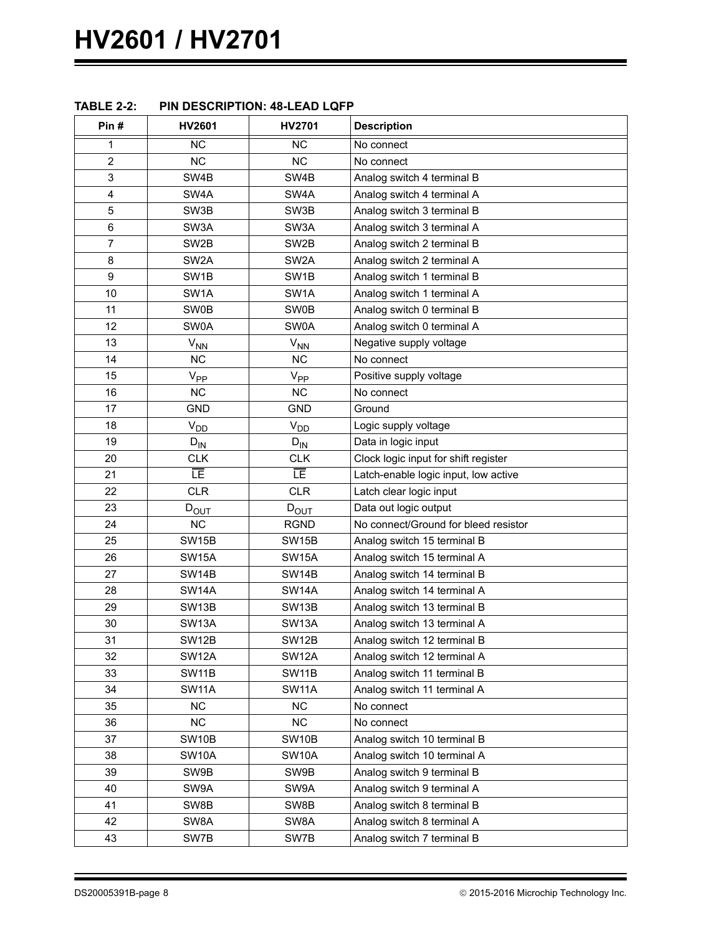| Pin#                    | <b>HV2601</b>     | HV2701                     | <b>Description</b>                   |
|-------------------------|-------------------|----------------------------|--------------------------------------|
| 1                       | <b>NC</b>         | <b>NC</b>                  | No connect                           |
| $\overline{2}$          | <b>NC</b>         | <b>NC</b>                  | No connect                           |
| 3                       | SW4B              | SW <sub>4</sub> B          | Analog switch 4 terminal B           |
| $\overline{\mathbf{4}}$ | SW <sub>4</sub> A | SW <sub>4</sub> A          | Analog switch 4 terminal A           |
| 5                       | SW3B              | SW3B                       | Analog switch 3 terminal B           |
| 6                       | SW3A              | SW3A                       | Analog switch 3 terminal A           |
| $\overline{7}$          | SW <sub>2</sub> B | SW <sub>2</sub> B          | Analog switch 2 terminal B           |
| 8                       | SW <sub>2</sub> A | SW <sub>2</sub> A          | Analog switch 2 terminal A           |
| 9                       | SW <sub>1</sub> B | SW <sub>1</sub> B          | Analog switch 1 terminal B           |
| 10                      | SW <sub>1</sub> A | SW1A                       | Analog switch 1 terminal A           |
| 11                      | <b>SW0B</b>       | <b>SW0B</b>                | Analog switch 0 terminal B           |
| 12                      | SW0A              | SW0A                       | Analog switch 0 terminal A           |
| 13                      | $V_{NN}$          | $\mathsf{V}_{\mathsf{NN}}$ | Negative supply voltage              |
| 14                      | <b>NC</b>         | <b>NC</b>                  | No connect                           |
| 15                      | $V_{PP}$          | $V_{PP}$                   | Positive supply voltage              |
| 16                      | <b>NC</b>         | <b>NC</b>                  | No connect                           |
| 17                      | <b>GND</b>        | <b>GND</b>                 | Ground                               |
| 18                      | $V_{DD}$          | $V_{DD}$                   | Logic supply voltage                 |
| 19                      | $D_{IN}$          | ${\sf D}_{\sf IN}$         | Data in logic input                  |
| 20                      | <b>CLK</b>        | <b>CLK</b>                 | Clock logic input for shift register |
| 21                      | <b>LE</b>         | īΕ                         | Latch-enable logic input, low active |
| 22                      | <b>CLR</b>        | <b>CLR</b>                 | Latch clear logic input              |
| 23                      | $D_{OUT}$         | $D_{OUT}$                  | Data out logic output                |
| 24                      | <b>NC</b>         | <b>RGND</b>                | No connect/Ground for bleed resistor |
| 25                      | <b>SW15B</b>      | SW15B                      | Analog switch 15 terminal B          |
| 26                      | <b>SW15A</b>      | <b>SW15A</b>               | Analog switch 15 terminal A          |
| 27                      | SW14B             | SW14B                      | Analog switch 14 terminal B          |
| 28                      | SW14A             | SW14A                      | Analog switch 14 terminal A          |
| 29                      | SW13B             | SW13B                      | Analog switch 13 terminal B          |
| 30                      | SW13A             | SW13A                      | Analog switch 13 terminal A          |
| 31                      | SW12B             | SW12B                      | Analog switch 12 terminal B          |
| 32                      | <b>SW12A</b>      | SW12A                      | Analog switch 12 terminal A          |
| 33                      | SW11B             | SW11B                      | Analog switch 11 terminal B          |
| 34                      | <b>SW11A</b>      | <b>SW11A</b>               | Analog switch 11 terminal A          |
| 35                      | NC                | NC                         | No connect                           |
| 36                      | NC                | NC                         | No connect                           |
| 37                      | SW10B             | SW10B                      | Analog switch 10 terminal B          |
| 38                      | <b>SW10A</b>      | <b>SW10A</b>               | Analog switch 10 terminal A          |
| 39                      | SW9B              | SW9B                       | Analog switch 9 terminal B           |
| 40                      | SW9A              | SW9A                       | Analog switch 9 terminal A           |
| 41                      | SW8B              | SW8B                       | Analog switch 8 terminal B           |
| 42                      | SW8A              | SW8A                       | Analog switch 8 terminal A           |
| 43                      | SW7B              | SW7B                       | Analog switch 7 terminal B           |

#### <span id="page-7-0"></span>**TABLE 2-2: PIN DESCRIPTION: 48-LEAD LQFP**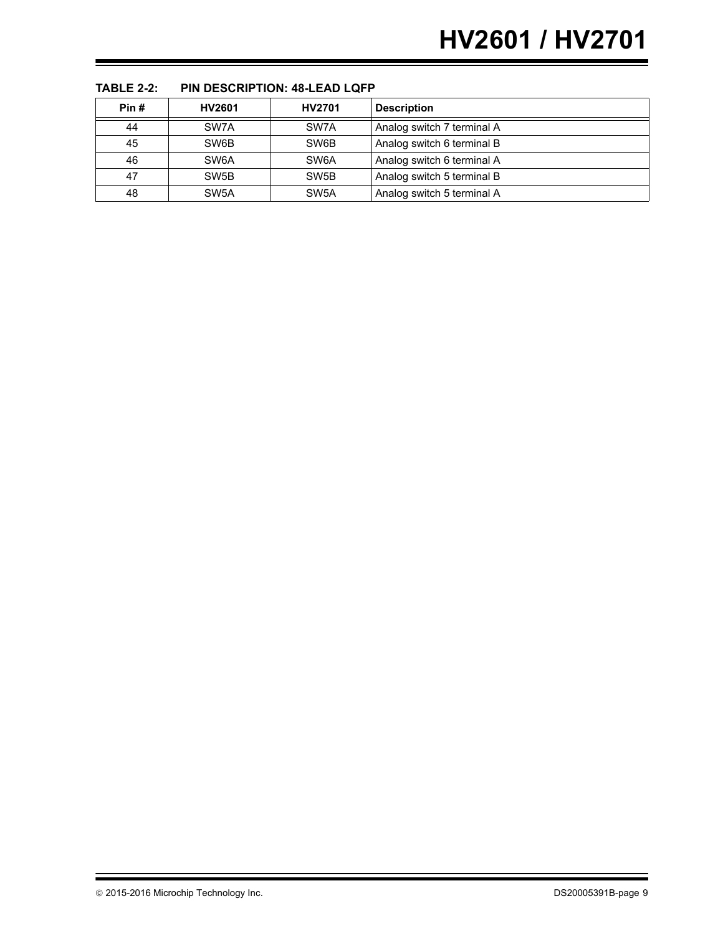| Pin# | <b>HV2601</b>     | <b>HV2701</b>     | <b>Description</b>         |
|------|-------------------|-------------------|----------------------------|
| 44   | SW7A              | SW7A              | Analog switch 7 terminal A |
| 45   | SW6B              | SW6B              | Analog switch 6 terminal B |
| 46   | SW6A              | SW6A              | Analog switch 6 terminal A |
| 47   | SW <sub>5</sub> B | SW <sub>5</sub> B | Analog switch 5 terminal B |
| 48   | SW <sub>5</sub> A | SW <sub>5</sub> A | Analog switch 5 terminal A |

**TABLE 2-2: PIN DESCRIPTION: 48-LEAD LQFP**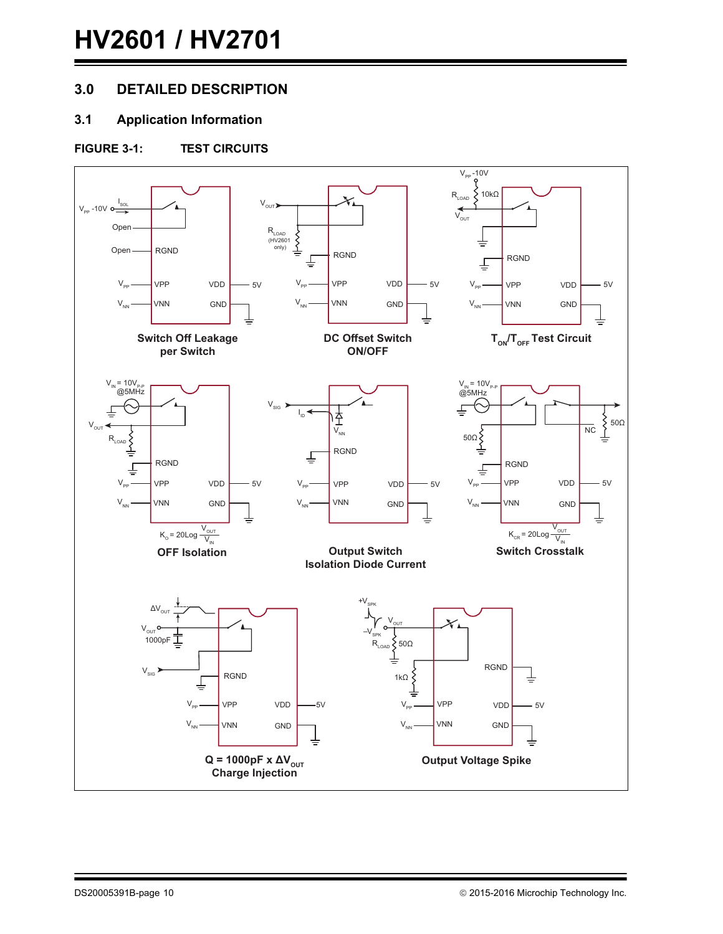# **HV2601 / HV2701**

#### **3.0 DETAILED DESCRIPTION**

#### **3.1 Application Information**

#### <span id="page-9-0"></span>**FIGURE 3-1: TEST CIRCUITS**

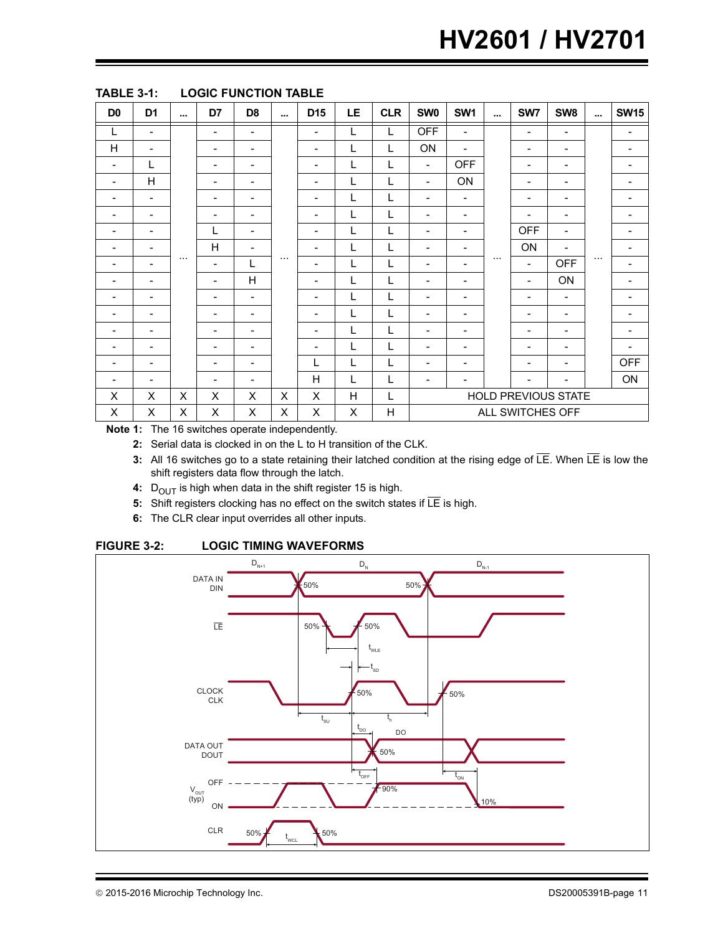| D <sub>0</sub> | D <sub>1</sub>               | $\cdots$ | D7                           | D <sub>8</sub>               | $\cdots$ | D <sub>15</sub>          | <b>LE</b> | <b>CLR</b> | <b>SW0</b>                   | SW <sub>1</sub>              |          | SW7                          | SW <sub>8</sub>              | $\ddotsc$ | <b>SW15</b>              |
|----------------|------------------------------|----------|------------------------------|------------------------------|----------|--------------------------|-----------|------------|------------------------------|------------------------------|----------|------------------------------|------------------------------|-----------|--------------------------|
| L              | $\overline{\phantom{a}}$     |          | $\overline{\phantom{a}}$     | $\overline{\phantom{0}}$     |          | $\overline{\phantom{a}}$ | L         | L          | <b>OFF</b>                   | $\overline{\phantom{a}}$     |          | $\qquad \qquad \blacksquare$ | $\overline{\phantom{0}}$     |           | $\overline{\phantom{a}}$ |
| H              | $\overline{\phantom{0}}$     |          | $\overline{\phantom{a}}$     | $\qquad \qquad \blacksquare$ |          | -                        | L         | L          | ON                           | $\overline{\phantom{a}}$     |          | ۰                            | $\qquad \qquad \blacksquare$ |           | $\overline{\phantom{0}}$ |
| $\blacksquare$ | L                            |          | $\overline{\phantom{a}}$     | $\overline{\phantom{a}}$     |          | -                        | L         | L          | $\overline{\phantom{a}}$     | <b>OFF</b>                   |          | $\qquad \qquad \blacksquare$ | $\qquad \qquad \blacksquare$ |           |                          |
| $\blacksquare$ | H                            |          | $\overline{\phantom{a}}$     | $\overline{\phantom{a}}$     |          | -                        | L         | L          | $\overline{\phantom{a}}$     | ON                           |          | ۰                            | $\qquad \qquad \blacksquare$ |           |                          |
|                | $\blacksquare$               |          | ۰                            | -                            |          | -                        | L         | L          | $\qquad \qquad \blacksquare$ | $\overline{\phantom{a}}$     |          |                              | $\overline{\phantom{a}}$     |           |                          |
| $\blacksquare$ | $\qquad \qquad \blacksquare$ |          | $\overline{\phantom{a}}$     | $\overline{\phantom{a}}$     |          | -                        | L         | L          | $\qquad \qquad \blacksquare$ | $\overline{\phantom{a}}$     |          | ۰                            | $\overline{\phantom{a}}$     |           |                          |
| $\blacksquare$ | $\qquad \qquad \blacksquare$ |          | L                            | $\overline{\phantom{0}}$     |          | -                        | L         | L          | $\qquad \qquad \blacksquare$ | $\qquad \qquad \blacksquare$ |          | <b>OFF</b>                   | $\overline{\phantom{a}}$     |           |                          |
|                | $\overline{\phantom{a}}$     |          | H                            | $\overline{\phantom{a}}$     |          | -                        | L         | L          | $\overline{\phantom{a}}$     | -                            |          | ON                           | $\overline{\phantom{a}}$     |           |                          |
|                | $\qquad \qquad \blacksquare$ | $\cdots$ | $\overline{\phantom{a}}$     | L                            | $\cdots$ | -                        | L         | L          | -                            | $\overline{\phantom{a}}$     | $\cdots$ | $\overline{\phantom{a}}$     | <b>OFF</b>                   | $\cdots$  | -                        |
|                | $\overline{\phantom{a}}$     |          | -                            | H                            |          |                          | L         | L          | $\overline{\phantom{0}}$     | -                            |          | $\qquad \qquad \blacksquare$ | ON                           |           |                          |
|                | $\blacksquare$               |          | -                            | $\qquad \qquad \blacksquare$ |          | ۳                        | L         | L          | $\overline{\phantom{a}}$     | $\qquad \qquad \blacksquare$ |          |                              | $\qquad \qquad \blacksquare$ |           |                          |
| $\blacksquare$ | $\qquad \qquad \blacksquare$ |          | $\qquad \qquad \blacksquare$ | $\qquad \qquad \blacksquare$ |          | -                        | L         | L          | $\overline{\phantom{0}}$     | $\overline{\phantom{a}}$     |          | ۰                            | $\qquad \qquad \blacksquare$ |           |                          |
|                | $\qquad \qquad \blacksquare$ |          | -                            | -                            |          | -                        | L         | L          | $\overline{\phantom{a}}$     | $\overline{\phantom{a}}$     |          | ٠                            | $\qquad \qquad \blacksquare$ |           |                          |
|                | $\blacksquare$               |          | -                            | ۰                            |          | -                        | L         | L          | $\qquad \qquad \blacksquare$ | $\qquad \qquad \blacksquare$ |          |                              | $\qquad \qquad \blacksquare$ |           |                          |
|                | $\blacksquare$               |          | $\overline{\phantom{a}}$     | $\qquad \qquad \blacksquare$ |          | L                        | L         | L          | $\blacksquare$               | $\overline{\phantom{0}}$     |          | ٠                            | $\qquad \qquad \blacksquare$ |           | <b>OFF</b>               |
|                | $\overline{\phantom{a}}$     |          | $\overline{\phantom{a}}$     | $\qquad \qquad \blacksquare$ |          | H                        | L         | L          | $\blacksquare$               | $\overline{\phantom{a}}$     |          |                              | $\overline{\phantom{a}}$     |           | ON                       |
| X              | X                            | X        | X                            | X                            | X        | X                        | H         | L          | HOLD PREVIOUS STATE          |                              |          |                              |                              |           |                          |
| X              | X                            | X        | X                            | X                            | X        | X                        | X         | H          | ALL SWITCHES OFF             |                              |          |                              |                              |           |                          |

**TABLE 3-1: LOGIC FUNCTION TABLE** 

**Note 1:** The 16 switches operate independently.

- **2:** Serial data is clocked in on the L to H transition of the CLK.
- **3:** All 16 switches go to a state retaining their latched condition at the rising edge of LE. When LE is low the shift registers data flow through the latch.
- **4:** D<sub>OUT</sub> is high when data in the shift register 15 is high.
- **5:** Shift registers clocking has no effect on the switch states if  $\overline{LE}$  is high.
- **6:** The CLR clear input overrides all other inputs.

#### **FIGURE 3-2: LOGIC TIMING WAVEFORMS**



2015-2016 Microchip Technology Inc. DS20005391B-page 11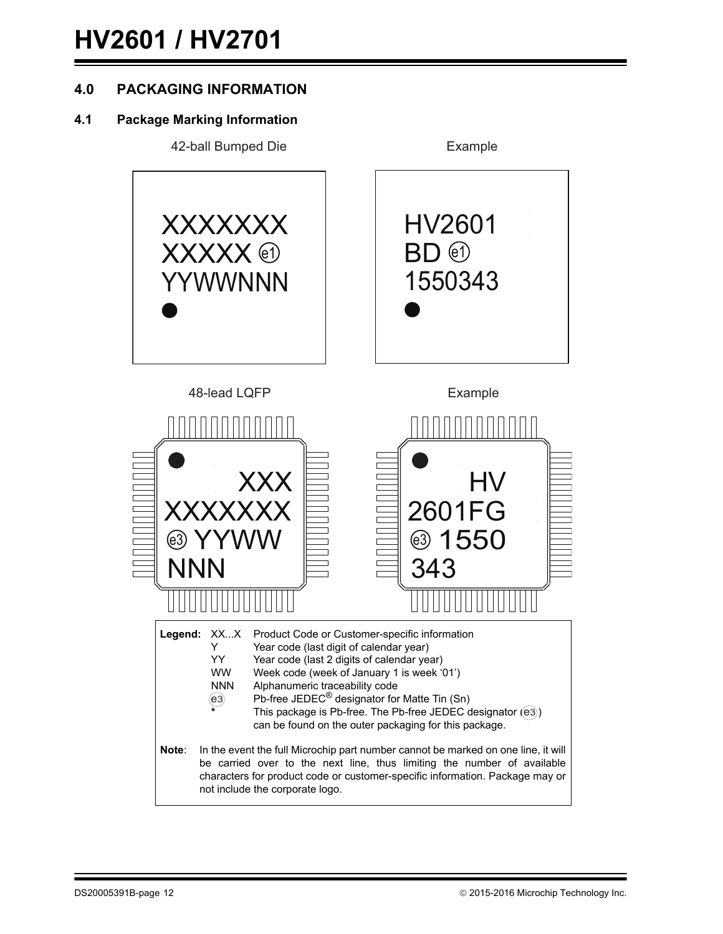#### <span id="page-11-0"></span>**4.0 PACKAGING INFORMATION**

#### **4.1 Package Marking Information**

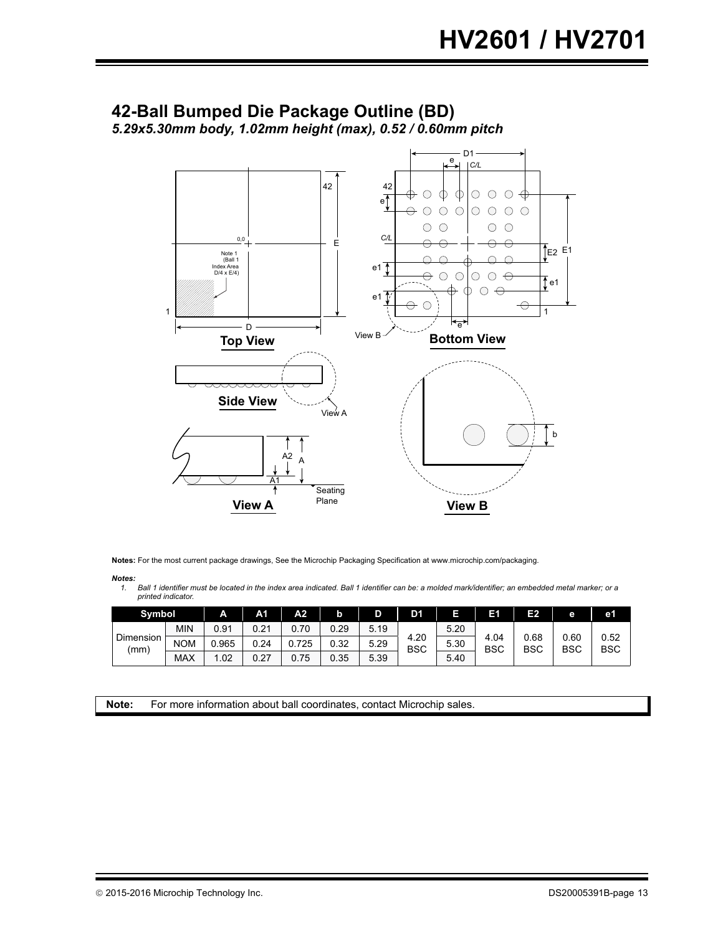# **42-Ball Bumped Die Package Outline (BD)**

*5.29x5.30mm body, 1.0mm height (max), 0.52 / 0.60mm pitch*



Notes: For the most current package drawings, See the Microchip Packaging Specification at www.microchip.com/packaging.

*Notes:*

<sup>1.</sup> Ball 1 identifier must be located in the index area indicated. Ball 1 identifier can be: a molded mark/identifier; an embedded metal marker; or a *printed indicator.*

| Symbol            |            | A     | A <sub>1</sub> | Α2    |      | D    | D1                 | Е<br>_ | Eſ                 | E2                 | е                  | <b>e1</b>          |
|-------------------|------------|-------|----------------|-------|------|------|--------------------|--------|--------------------|--------------------|--------------------|--------------------|
|                   | <b>MIN</b> | 0.91  | 0.21           | 0.70  | 0.29 | 5.19 |                    | 5.20   |                    |                    |                    |                    |
| Dimension<br>(mm) | <b>NOM</b> | 0.965 | 0.24           | 0.725 | 0.32 | 5.29 | 4.20<br><b>BSC</b> | 5.30   | 4.04<br><b>BSC</b> | 0.68<br><b>BSC</b> | 0.60<br><b>BSC</b> | 0.52<br><b>BSC</b> |
|                   | <b>MAX</b> | .02   | 0.27           | 0.75  | 0.35 | 5.39 |                    | 5.40   |                    |                    |                    |                    |

**Note:** For more information about ball coordinates, contact Microchip sales.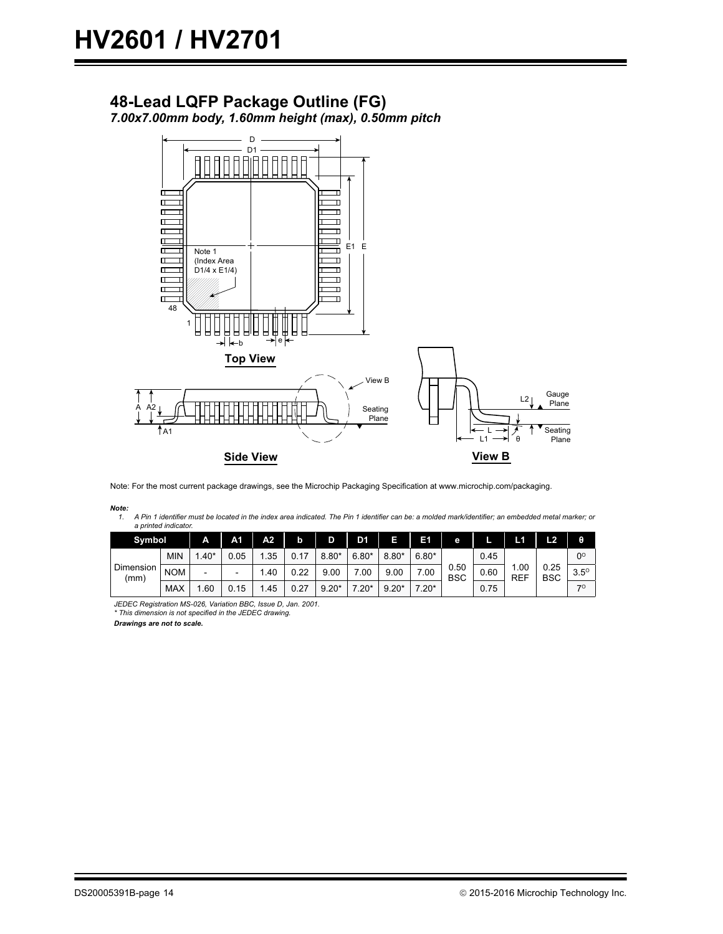# **48-Lead LQFP Package Outline (FG)**

*7.00x7.00mm body, 1.60mm height (max), 0.50mm pitch* 



Note: For the most current package drawings, see the Microchip Packaging Specification at www.microchip.com/packaging.

**Note:**<br>1. A Pin 1 identifier must be located in the index area indicated. The Pin 1 identifier can be: a molded mark/identifier; an embedded metal marker; or *a printed indicator.*

| Symbol                                                                                                                   |            | A      | A <sub>1</sub>           | Α2   | b    | D       | D <sub>1</sub> | Ε       | н       | e                  |      | L1                 | L <sub>2</sub>     | θ           |
|--------------------------------------------------------------------------------------------------------------------------|------------|--------|--------------------------|------|------|---------|----------------|---------|---------|--------------------|------|--------------------|--------------------|-------------|
|                                                                                                                          | <b>MIN</b> | $.40*$ | 0.05                     | 1.35 | 0.17 | $8.80*$ | $6.80*$        | $8.80*$ | $6.80*$ |                    | 0.45 |                    |                    | $0^{\circ}$ |
| Dimension<br>(mm)                                                                                                        | <b>NOM</b> | -      | $\overline{\phantom{0}}$ | l.40 | 0.22 | 9.00    | 7.00           | 9.00    | 7.00    | 0.50<br><b>BSC</b> | 0.60 | 1.00<br><b>REF</b> | 0.25<br><b>BSC</b> | $3.5^\circ$ |
|                                                                                                                          | <b>MAX</b> | .60    | 0.15                     | 1.45 | 0.27 | $9.20*$ | $7.20*$        | $9.20*$ | $7.20*$ |                    | 0.75 |                    |                    | 70          |
| JEDEC Registration MS-026, Variation BBC, Issue D, Jan. 2001.<br>* This dimension is not specified in the JEDEC drawing. |            |        |                          |      |      |         |                |         |         |                    |      |                    |                    |             |

*Drawings are not to scale.*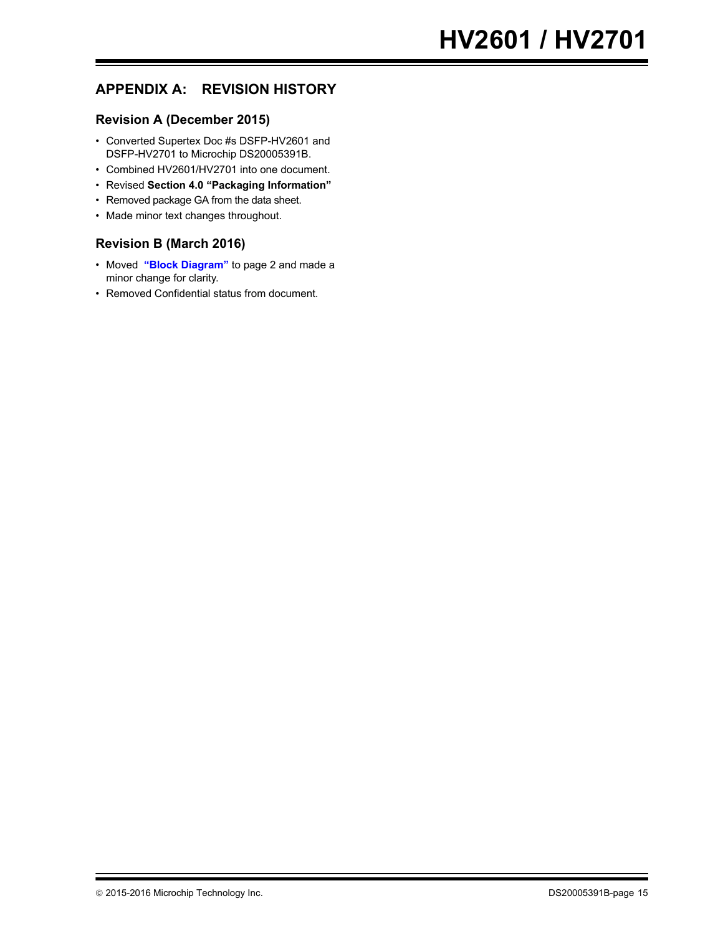#### **APPENDIX A: REVISION HISTORY**

#### **Revision A (December 2015)**

- Converted Supertex Doc #s DSFP-HV2601 and DSFP-HV2701 to Microchip DS20005391B.
- Combined HV2601/HV2701 into one document.
- Revised **[Section 4.0 "Packaging Information"](#page-11-0)**
- Removed package GA from the data sheet.
- Made minor text changes throughout.

#### **Revision B (March 2016)**

- Moved **["Block Diagram"](#page-1-0)** to page 2 and made a minor change for clarity.
- Removed Confidential status from document.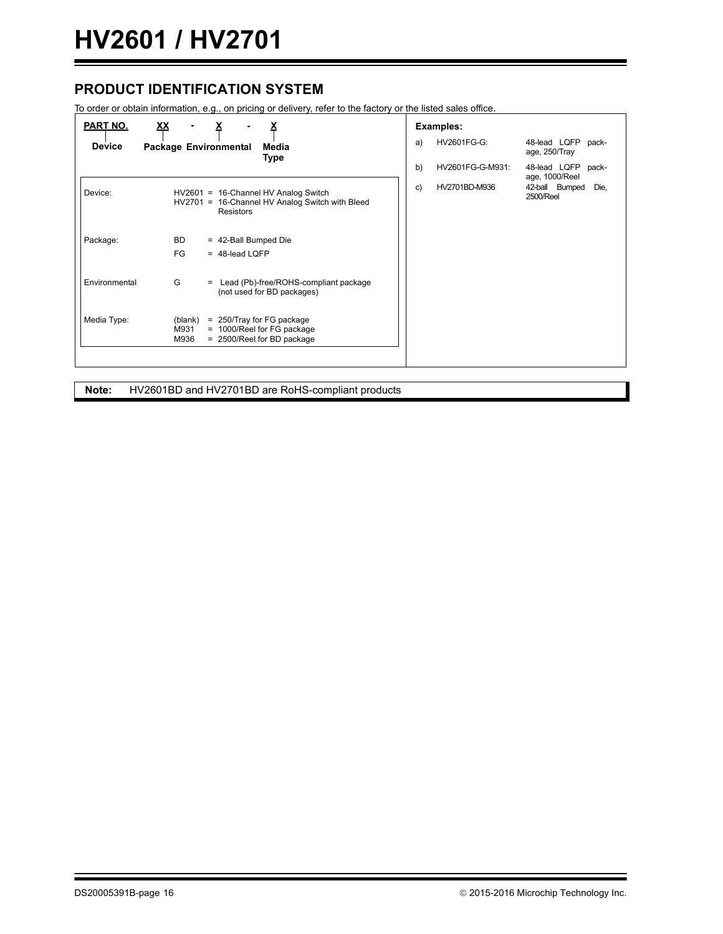#### **PRODUCT IDENTIFICATION SYSTEM**

To order or obtain information, e.g., on pricing or delivery, refer to the factory or the listed sales office.

| <b>PART NO.</b> | XХ                                                                                                               |    | Examples:        |                                         |
|-----------------|------------------------------------------------------------------------------------------------------------------|----|------------------|-----------------------------------------|
| <b>Device</b>   | Package Environmental<br>Media<br>Type                                                                           | a) | HV2601FG-G:      | 48-lead LQFP pack-<br>age, 250/Tray     |
|                 |                                                                                                                  | b) | HV2601FG-G-M931: | 48-lead LQFP<br>pack-<br>age, 1000/Reel |
| Device:         | HV2601 = 16-Channel HV Analog Switch<br>HV2701 = 16-Channel HV Analog Switch with Bleed<br>Resistors             | C) | HV2701BD-M936    | 42-ball Bumped<br>Die,<br>2500/Reel     |
| Package:        | = 42-Ball Bumped Die<br>BD                                                                                       |    |                  |                                         |
|                 | FG<br>$=$ 48-lead LQFP                                                                                           |    |                  |                                         |
| Environmental   | G<br>Lead (Pb)-free/ROHS-compliant package<br>$\equiv$<br>(not used for BD packages)                             |    |                  |                                         |
| Media Type:     | = 250/Tray for FG package<br>(blank)<br>= 1000/Reel for FG package<br>M931<br>= 2500/Reel for BD package<br>M936 |    |                  |                                         |
|                 |                                                                                                                  |    |                  |                                         |

**Note:** HV2601BD and HV2701BD are RoHS-compliant products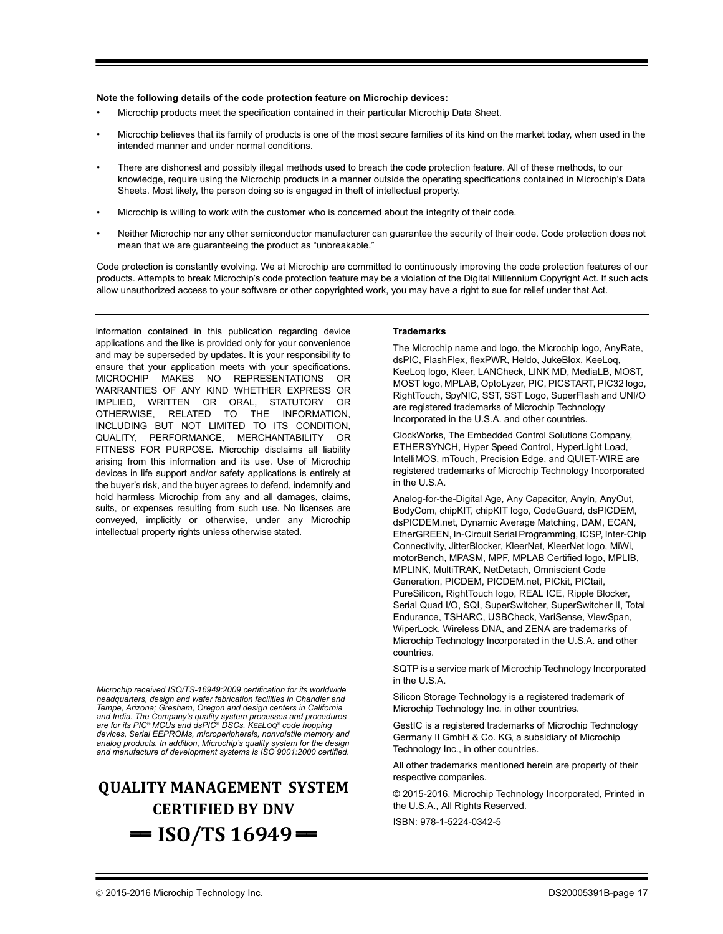#### **Note the following details of the code protection feature on Microchip devices:**

- Microchip products meet the specification contained in their particular Microchip Data Sheet.
- Microchip believes that its family of products is one of the most secure families of its kind on the market today, when used in the intended manner and under normal conditions.
- There are dishonest and possibly illegal methods used to breach the code protection feature. All of these methods, to our knowledge, require using the Microchip products in a manner outside the operating specifications contained in Microchip's Data Sheets. Most likely, the person doing so is engaged in theft of intellectual property.
- Microchip is willing to work with the customer who is concerned about the integrity of their code.
- Neither Microchip nor any other semiconductor manufacturer can guarantee the security of their code. Code protection does not mean that we are guaranteeing the product as "unbreakable."

Code protection is constantly evolving. We at Microchip are committed to continuously improving the code protection features of our products. Attempts to break Microchip's code protection feature may be a violation of the Digital Millennium Copyright Act. If such acts allow unauthorized access to your software or other copyrighted work, you may have a right to sue for relief under that Act.

Information contained in this publication regarding device applications and the like is provided only for your convenience and may be superseded by updates. It is your responsibility to ensure that your application meets with your specifications. MICROCHIP MAKES NO REPRESENTATIONS OR WARRANTIES OF ANY KIND WHETHER EXPRESS OR IMPLIED, WRITTEN OR ORAL, STATUTORY OR OTHERWISE, RELATED TO THE INFORMATION, INCLUDING BUT NOT LIMITED TO ITS CONDITION, QUALITY, PERFORMANCE, MERCHANTABILITY OR FITNESS FOR PURPOSE**.** Microchip disclaims all liability arising from this information and its use. Use of Microchip devices in life support and/or safety applications is entirely at the buyer's risk, and the buyer agrees to defend, indemnify and hold harmless Microchip from any and all damages, claims, suits, or expenses resulting from such use. No licenses are conveyed, implicitly or otherwise, under any Microchip intellectual property rights unless otherwise stated.

*Microchip received ISO/TS-16949:2009 certification for its worldwide headquarters, design and wafer fabrication facilities in Chandler and Tempe, Arizona; Gresham, Oregon and design centers in California and India. The Company's quality system processes and procedures are for its PIC® MCUs and dsPIC® DSCs, KEELOQ® code hopping devices, Serial EEPROMs, microperipherals, nonvolatile memory and analog products. In addition, Microchip's quality system for the design and manufacture of development systems is ISO 9001:2000 certified.*

# **QUALITY MANAGEMENT SYSTEM CERTIFIED BY DNV**  $=$  **ISO/TS** 16949 $=$

#### **Trademarks**

The Microchip name and logo, the Microchip logo, AnyRate, dsPIC, FlashFlex, flexPWR, Heldo, JukeBlox, KeeLoq, KeeLoq logo, Kleer, LANCheck, LINK MD, MediaLB, MOST, MOST logo, MPLAB, OptoLyzer, PIC, PICSTART, PIC32 logo, RightTouch, SpyNIC, SST, SST Logo, SuperFlash and UNI/O are registered trademarks of Microchip Technology Incorporated in the U.S.A. and other countries.

ClockWorks, The Embedded Control Solutions Company, ETHERSYNCH, Hyper Speed Control, HyperLight Load, IntelliMOS, mTouch, Precision Edge, and QUIET-WIRE are registered trademarks of Microchip Technology Incorporated in the U.S.A.

Analog-for-the-Digital Age, Any Capacitor, AnyIn, AnyOut, BodyCom, chipKIT, chipKIT logo, CodeGuard, dsPICDEM, dsPICDEM.net, Dynamic Average Matching, DAM, ECAN, EtherGREEN, In-Circuit Serial Programming, ICSP, Inter-Chip Connectivity, JitterBlocker, KleerNet, KleerNet logo, MiWi, motorBench, MPASM, MPF, MPLAB Certified logo, MPLIB, MPLINK, MultiTRAK, NetDetach, Omniscient Code Generation, PICDEM, PICDEM.net, PICkit, PICtail, PureSilicon, RightTouch logo, REAL ICE, Ripple Blocker, Serial Quad I/O, SQI, SuperSwitcher, SuperSwitcher II, Total Endurance, TSHARC, USBCheck, VariSense, ViewSpan, WiperLock, Wireless DNA, and ZENA are trademarks of Microchip Technology Incorporated in the U.S.A. and other countries.

SQTP is a service mark of Microchip Technology Incorporated in the U.S.A.

Silicon Storage Technology is a registered trademark of Microchip Technology Inc. in other countries.

GestIC is a registered trademarks of Microchip Technology Germany II GmbH & Co. KG, a subsidiary of Microchip Technology Inc., in other countries.

All other trademarks mentioned herein are property of their respective companies.

© 2015-2016, Microchip Technology Incorporated, Printed in the U.S.A., All Rights Reserved.

ISBN: 978-1-5224-0342-5